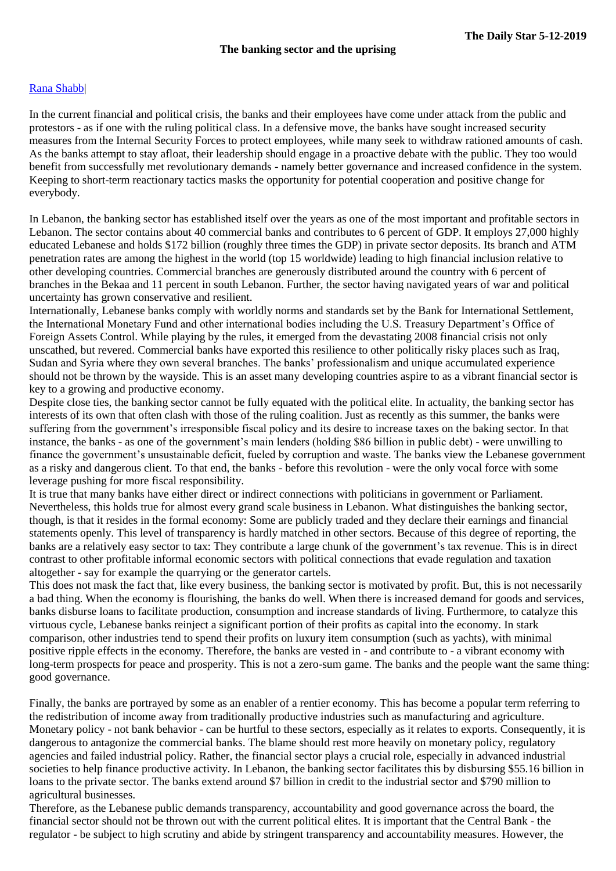## Rana [Shabb|](https://www.dailystar.com.lb/Rana-Shabb.ashx)

In the current financial and political crisis, the banks and their employees have come under attack from the public and protestors - as if one with the ruling political class. In a defensive move, the banks have sought increased security measures from the Internal Security Forces to protect employees, while many seek to withdraw rationed amounts of cash. As the banks attempt to stay afloat, their leadership should engage in a proactive debate with the public. They too would benefit from successfully met revolutionary demands - namely better governance and increased confidence in the system. Keeping to short-term reactionary tactics masks the opportunity for potential cooperation and positive change for everybody.

In Lebanon, the banking sector has established itself over the years as one of the most important and profitable sectors in Lebanon. The sector contains about 40 commercial banks and contributes to 6 percent of GDP. It employs 27,000 highly educated Lebanese and holds \$172 billion (roughly three times the GDP) in private sector deposits. Its branch and ATM penetration rates are among the highest in the world (top 15 worldwide) leading to high financial inclusion relative to other developing countries. Commercial branches are generously distributed around the country with 6 percent of branches in the Bekaa and 11 percent in south Lebanon. Further, the sector having navigated years of war and political uncertainty has grown conservative and resilient.

Internationally, Lebanese banks comply with worldly norms and standards set by the Bank for International Settlement, the International Monetary Fund and other international bodies including the U.S. Treasury Department's Office of Foreign Assets Control. While playing by the rules, it emerged from the devastating 2008 financial crisis not only unscathed, but revered. Commercial banks have exported this resilience to other politically risky places such as Iraq, Sudan and Syria where they own several branches. The banks' professionalism and unique accumulated experience should not be thrown by the wayside. This is an asset many developing countries aspire to as a vibrant financial sector is key to a growing and productive economy.

Despite close ties, the banking sector cannot be fully equated with the political elite. In actuality, the banking sector has interests of its own that often clash with those of the ruling coalition. Just as recently as this summer, the banks were suffering from the government's irresponsible fiscal policy and its desire to increase taxes on the baking sector. In that instance, the banks - as one of the government's main lenders (holding \$86 billion in public debt) - were unwilling to finance the government's unsustainable deficit, fueled by corruption and waste. The banks view the Lebanese government as a risky and dangerous client. To that end, the banks - before this revolution - were the only vocal force with some leverage pushing for more fiscal responsibility.

It is true that many banks have either direct or indirect connections with politicians in government or Parliament. Nevertheless, this holds true for almost every grand scale business in Lebanon. What distinguishes the banking sector, though, is that it resides in the formal economy: Some are publicly traded and they declare their earnings and financial statements openly. This level of transparency is hardly matched in other sectors. Because of this degree of reporting, the banks are a relatively easy sector to tax: They contribute a large chunk of the government's tax revenue. This is in direct contrast to other profitable informal economic sectors with political connections that evade regulation and taxation altogether - say for example the quarrying or the generator cartels.

This does not mask the fact that, like every business, the banking sector is motivated by profit. But, this is not necessarily a bad thing. When the economy is flourishing, the banks do well. When there is increased demand for goods and services, banks disburse loans to facilitate production, consumption and increase standards of living. Furthermore, to catalyze this virtuous cycle, Lebanese banks reinject a significant portion of their profits as capital into the economy. In stark comparison, other industries tend to spend their profits on luxury item consumption (such as yachts), with minimal positive ripple effects in the economy. Therefore, the banks are vested in - and contribute to - a vibrant economy with long-term prospects for peace and prosperity. This is not a zero-sum game. The banks and the people want the same thing: good governance.

Finally, the banks are portrayed by some as an enabler of a rentier economy. This has become a popular term referring to the redistribution of income away from traditionally productive industries such as manufacturing and agriculture. Monetary policy - not bank behavior - can be hurtful to these sectors, especially as it relates to exports. Consequently, it is dangerous to antagonize the commercial banks. The blame should rest more heavily on monetary policy, regulatory agencies and failed industrial policy. Rather, the financial sector plays a crucial role, especially in advanced industrial societies to help finance productive activity. In Lebanon, the banking sector facilitates this by disbursing \$55.16 billion in loans to the private sector. The banks extend around \$7 billion in credit to the industrial sector and \$790 million to agricultural businesses.

Therefore, as the Lebanese public demands transparency, accountability and good governance across the board, the financial sector should not be thrown out with the current political elites. It is important that the Central Bank - the regulator - be subject to high scrutiny and abide by stringent transparency and accountability measures. However, the